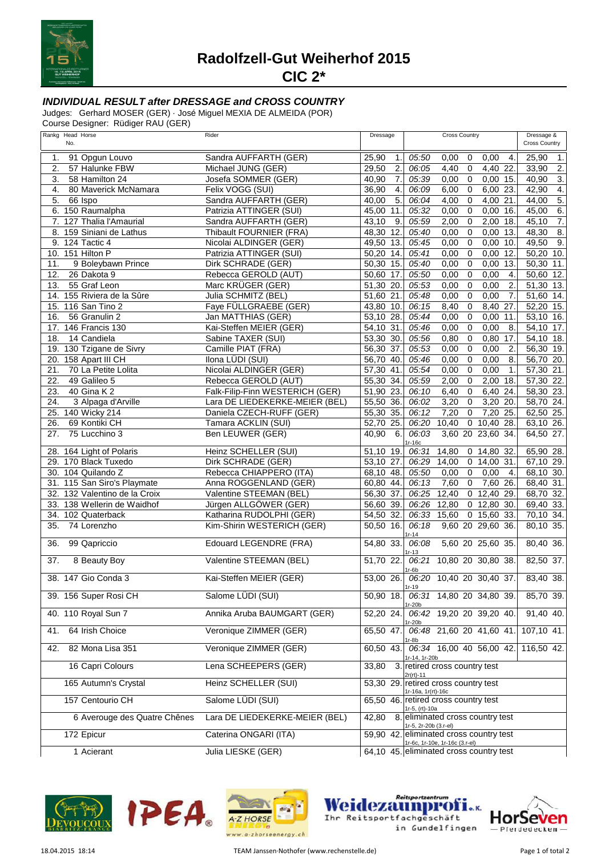

**Radolfzell-Gut Weiherhof 2015**

**CIC 2\***

## **INDIVIDUAL RESULT after DRESSAGE and CROSS COUNTRY**

Judges: Gerhard MOSER (GER) · José Miguel MEXIA DE ALMEIDA (POR)

Course Designer: Rüdiger RAU (GER)

| Rankg Head Horse<br>No.            | Rider                           | Dressage                  | <b>Cross Country</b>                                                      | Dressage &<br><b>Cross Country</b> |
|------------------------------------|---------------------------------|---------------------------|---------------------------------------------------------------------------|------------------------------------|
| 91 Opgun Louvo<br>1.               | Sandra AUFFARTH (GER)           | 25,90<br>$\mathbf{1}$ .   | 05:50<br>0,00<br>$\mathbf 0$<br>- 4.<br>0,00                              | 25,90<br>1.                        |
| $\overline{2}$ .<br>57 Halunke FBW | Michael JUNG (GER)              | 29,50<br>$\overline{2}$ . | 06:05<br>4,40<br>$\mathsf 0$<br>4,40 22.                                  | $\overline{2}$<br>33,90            |
| 3.<br>58 Hamilton 24               | Josefa SOMMER (GER)             | 7.<br>40,90               | 05:39<br>$\mathbf 0$<br>$0,00$ 15.<br>0,00                                | $\overline{3}$ .<br>40,90          |
| 4.<br>80 Maverick McNamara         | Felix VOGG (SUI)                | $\overline{4}$ .<br>36,90 | $\overline{0}$<br>06:09<br>6,00 23.<br>6,00                               | 4.<br>42.90                        |
| 5.<br>66 Ispo                      | Sandra AUFFARTH (GER)           | $\overline{5}$ .<br>40,00 | $\mathbf 0$<br>06:04<br>4,00<br>4,00 21.                                  | 5.<br>44,00                        |
| 6. 150 Raumalpha                   | Patrizia ATTINGER (SUI)         | 45,00 11.                 | 05:32<br>$\mathsf 0$<br>$0,00$ 16.<br>0,00                                | 6.<br>45,00                        |
| 7. 127 Thalia l'Amaurial           | Sandra AUFFARTH (GER)           | 43,10<br>9.               | $\overline{0}$<br>05:59<br>$2,00$ 18.<br>2,00                             | $\overline{7}$ .<br>45,10          |
| 8. 159 Siniani de Lathus           | Thibault FOURNIER (FRA)         | 48,30 12.                 | $\overline{0}$<br>05:40<br>0,00<br>0,00<br>13.                            | $\overline{8}$ .<br>48,30          |
| 124 Tactic 4<br>9.                 | Nicolai ALDINGER (GER)          | 49,50 13.                 | 05:45<br>$\mathbf 0$<br>0,00<br>0,00<br>10.                               | 9.<br>49,50                        |
| 10. 151 Hilton P                   | Patrizia ATTINGER (SUI)         | 50,20 14.                 | $\overline{0}$<br>05:41<br>0,00<br>12.<br>0,00                            | 50,20 10.                          |
| 9 Boleybawn Prince<br>11.          | Dirk SCHRADE (GER)              | $50,30$ 15.               | $\overline{0}$<br>05:40<br>0,00 13.<br>0,00                               | 50,30<br>11.                       |
| 12.<br>26 Dakota 9                 | Rebecca GEROLD (AUT)            | 50,60 17.                 | $\overline{0}$<br>0,00<br>05:50<br>0,00<br>4.                             | 50,60 12.                          |
| 13.<br>55 Graf Leon                | Marc KRÜGER (GER)               | 51,30 20.                 | 05:53<br>$\pmb{0}$<br>0,00<br>$\overline{2}$<br>0,00                      | 51,30 13.                          |
| 14. 155 Riviera de la Sûre         | Julia SCHMITZ (BEL)             | 51,60 21.                 | $\overline{0}$<br>05:48<br>0,00<br>0,00<br>7.                             | 51,60 14.                          |
| 15. 116 San Tino 2                 | Faye FÜLLGRAEBE (GER)           | 43,80 10.                 | $\overline{0}$<br>06:15<br>8,40<br>27.<br>8,40                            | 52,20 15.                          |
| 16.<br>56 Granulin 2               | Jan MATTHIAS (GER)              | 53,10 28.                 | $\overline{0}$<br>05:44<br>0,00<br>0,00<br>11                             | 53,10 16.                          |
| 17. 146 Francis 130                | Kai-Steffen MEIER (GER)         | 54,10 31.                 | 05:46<br>$\pmb{0}$<br>8.<br>0,00<br>0,00                                  | 54,10 17.                          |
| 14 Candiela<br>18.                 | Sabine TAXER (SUI)              | 53,30 30.                 | $\overline{0}$<br>05:56<br>0,80<br>0,80 17.                               | 54,10 18.                          |
| 19. 130 Tzigane de Sivry           | Camille PIAT (FRA)              | 56,30 37.                 | $\overline{0}$<br>05:53<br>$\overline{2}$ .<br>0,00<br>0,00               | 56,30 19.                          |
| 158 Apart III CH<br>20.            | Ilona LÜDI (SUI)                | 56,70 40.                 | $\overline{0}$<br>05:46<br>0,00<br>8.<br>0,00                             | 56,70 20.                          |
| 70 La Petite Lolita<br>21.         | Nicolai ALDINGER (GER)          | 57,30 41.                 | 05:54<br>$\pmb{0}$<br>0,00<br>0,00<br>$\mathbf 1$ .                       | 57,30 21.                          |
| 22.<br>49 Galileo 5                | Rebecca GEROLD (AUT)            | 55,30 34.                 | 2,00<br>05:59<br>2,00<br>$\mathbf 0$<br>18.                               | 57,30 22.                          |
| 23.<br>40 Gina K 2                 | Falk-Filip-Finn WESTERICH (GER) | 51,90 23.                 | $\overline{0}$<br>06:10<br>6,40<br>6,40<br>24.                            | 58,30 23.                          |
| 3 Alpaga d'Arville<br>24.          | Lara DE LIEDEKERKE-MEIER (BEL)  | 55,50 36.                 | $\overline{0}$<br>$3,20$ 20.<br>06:02<br>3,20                             | 58,70 24.                          |
| 25. 140 Wicky 214                  | Daniela CZECH-RUFF (GER)        | 55,30 35.                 | 06:12<br>7,20<br>$\mathsf 0$<br>7,20 25.                                  | 62,50 25.                          |
| 26.<br>69 Kontiki CH               |                                 | 52,70 25.                 | 06:20<br>10,40<br>$0$ 10,40 28.                                           | 63,10 26.                          |
|                                    | Tamara ACKLIN (SUI)             | 6.                        |                                                                           |                                    |
| 75 Lucchino 3<br>27.               | Ben LEUWER (GER)                | 40,90                     | 06:03<br>3,60 20 23,60 34.<br>$1r-16c$                                    | 64,50 27.                          |
| 28. 164 Light of Polaris           | Heinz SCHELLER (SUI)            | 51,10 19.                 | 06:31<br>14,80<br>0 14,80 32                                              | 65,90 28.                          |
| 29. 170 Black Tuxedo               | Dirk SCHRADE (GER)              | 53,10 27.                 | 06:29<br>14,00<br>$0$ 14,00 31.                                           | 67,10 29.                          |
| 30. 104 Quilando Z                 | Rebecca CHIAPPERO (ITA)         | 68,10 48.                 | 05:50<br>0,00<br>$\mathbf 0$<br>0,00<br>$\overline{4}$                    | 68,10 30.                          |
| 31. 115 San Siro's Playmate        | Anna ROGGENLAND (GER)           | 60,80 44.                 | 06:13<br>$\mathsf 0$<br>7,60 26.<br>7,60                                  | 68,40 31.                          |
| 32. 132 Valentino de la Croix      | Valentine STEEMAN (BEL)         | 56,30 37.                 | $0$ 12,40 29.<br>06:25<br>12,40                                           | 68,70 32.                          |
| 33. 138 Wellerin de Waidhof        | Jürgen ALLGÖWER (GER)           | 56,60 39.                 | 06:26 12,80<br>$0$ 12,80 30.                                              | 69,40 33.                          |
| 34. 102 Quaterback                 | Katharina RUDOLPHI (GER)        | 54,50 32.                 | 06:33 15,60<br>$0$ 15,60 33.                                              | 70,10 34.                          |
| 35.<br>74 Lorenzho                 | Kim-Shirin WESTERICH (GER)      | 50,50 16.                 | 9,60 20 29,60 36.<br>06:18                                                | 80,10 35.                          |
| 36.<br>99 Qapriccio                | <b>Edouard LEGENDRE (FRA)</b>   | 54,80 33.                 | $1r - 14$<br>5,60 20 25,60 35.<br>06:08                                   | 80,40 36.                          |
|                                    |                                 |                           | 1r-13                                                                     |                                    |
| 8 Beauty Boy<br>37.                | Valentine STEEMAN (BEL)         | 51,70 22.                 | 06:21 10,80 20 30,80 38.<br>$1r-6b$                                       | 82,50 37.                          |
| 38. 147 Gio Conda 3                | Kai-Steffen MEIER (GER)         |                           | 53,00 26. 06:20 10,40 20 30,40 37.                                        | 83,40 38.                          |
| 39. 156 Super Rosi CH              | Salome LÜDI (SUI)               |                           | 50,90 18. 06:31 14,80 20 34,80 39.                                        | 85,70 39.                          |
|                                    |                                 |                           | 1r-20b                                                                    |                                    |
| 40. 110 Royal Sun 7                | Annika Aruba BAUMGART (GER)     | $\overline{52,20}$ 24.    | 06:42 19,20 20 39,20 40.<br>1r-20b                                        | $91,40$ 40.                        |
| 64 Irish Choice<br>41.             | Veronique ZIMMER (GER)          | 65,50 47.                 | 06:48 21,60 20 41,60 41.                                                  | 107,10 41.                         |
| 82 Mona Lisa 351<br>42.            | Veronique ZIMMER (GER)          | 60,50 43.                 | 1r-8b<br>06:34 16,00 40 56,00 42. 116,50 42.                              |                                    |
|                                    |                                 |                           | 1r-14, 1r-20b                                                             |                                    |
| 16 Capri Colours                   | Lena SCHEEPERS (GER)            | 33,80                     | 3. retired cross country test<br>2r(rt)-11                                |                                    |
| 165 Autumn's Crystal               | Heinz SCHELLER (SUI)            | 53,30 29.                 | retired cross country test<br>1r-16a, 1r(rt)-16c                          |                                    |
| 157 Centourio CH                   | Salome LÜDI (SUI)               |                           | 65,50 46. retired cross country test                                      |                                    |
| 6 Averouge des Quatre Chênes       | Lara DE LIEDEKERKE-MEIER (BEL)  |                           | 1r-5, (rt)-10a<br>42,80 8. eliminated cross country test                  |                                    |
| 172 Epicur                         | Caterina ONGARI (ITA)           |                           | 1r-5, 2r-20b (3.r-el)<br>59,90 42. eliminated cross country test          |                                    |
| 1 Acierant                         | Julia LIESKE (GER)              |                           | 1r-6c, 1r-10e, 1r-16c (3.r-el)<br>64,10 45. eliminated cross country test |                                    |
|                                    |                                 |                           |                                                                           |                                    |